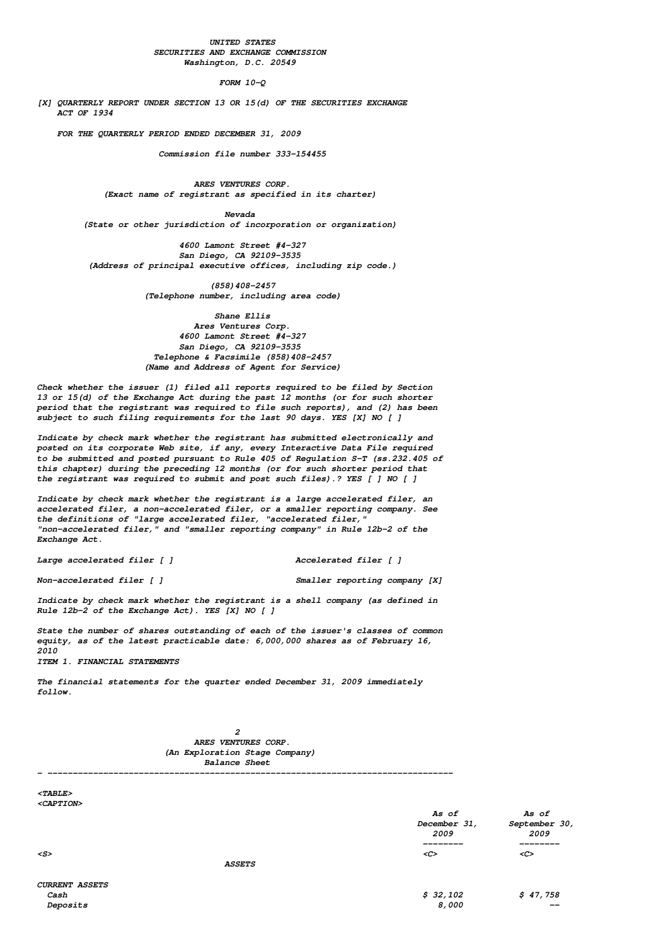# **UNITED STATES SECURITIES AND EXCHANGE COMMISSION Washington, D.C. 20549**

**FORM 10-Q**

**[X] QUARTERLY REPORT UNDER SECTION 13 OR 15(d) OF THE SECURITIES EXCHANGE ACT OF 1934**

**FOR THE QUARTERLY PERIOD ENDED DECEMBER 31, 2009**

**Commission file number 333-154455**

**ARES VENTURES CORP. (Exact name of registrant as specified in its charter)**

**Nevada (State or other jurisdiction of incorporation or organization)**

**4600 Lamont Street #4-327 San Diego, CA 92109-3535 (Address of principal executive offices, including zip code.)**

> **(858)408-2457 (Telephone number, including area code)**

> **Shane Ellis Ares Ventures Corp. 4600 Lamont Street #4-327 San Diego, CA 92109-3535 Telephone & Facsimile (858)408-2457 (Name and Address of Agent for Service)**

**Check whether the issuer (1) filed all reports required to be filed by Section 13 or 15(d) of the Exchange Act during the past 12 months (or for such shorter period that the registrant was required to file such reports), and (2) has been subject to such filing requirements for the last 90 days. YES [X] NO [ ]**

**Indicate by check mark whether the registrant has submitted electronically and posted on its corporate Web site, if any, every Interactive Data File required to be submitted and posted pursuant to Rule 405 of Regulation S-T (ss.232.405 of this chapter) during the preceding 12 months (or for such shorter period that the registrant was required to submit and post such files).? YES [ ] NO [ ]**

**Indicate by check mark whether the registrant is a large accelerated filer, an accelerated filer, a non-accelerated filer, or a smaller reporting company. See the definitions of "large accelerated filer, "accelerated filer," "non-accelerated filer," and "smaller reporting company" in Rule 12b-2 of the Exchange Act.**

**Large accelerated filer [ ] Accelerated filer [ ]**

**Non-accelerated filer [ ] Smaller reporting company [X]**

**Indicate by check mark whether the registrant is a shell company (as defined in Rule 12b-2 of the Exchange Act). YES [X] NO [ ]**

**State the number of shares outstanding of each of the issuer's classes of common equity, as of the latest practicable date: 6,000,000 shares as of February 16, 2010 ITEM 1. FINANCIAL STATEMENTS**

**The financial statements for the quarter ended December 31, 2009 immediately follow.**

**2 ARES VENTURES CORP. (An Exploration Stage Company) Balance Sheet - --------------------------------------------------------------------------------**

**<TABLE> <CAPTION>**

| $-0.71 + 1.017$                      | As of<br>December 31,<br>2009  | As of<br>September 30,<br>2009 |
|--------------------------------------|--------------------------------|--------------------------------|
| $\langle S \rangle$<br><b>ASSETS</b> | -------<br>$\langle C \rangle$ | $\langle C \rangle$            |
| <b>CURRENT ASSETS</b><br>Cash        | \$32,102                       | \$47,758                       |

**Deposits 8,000 --**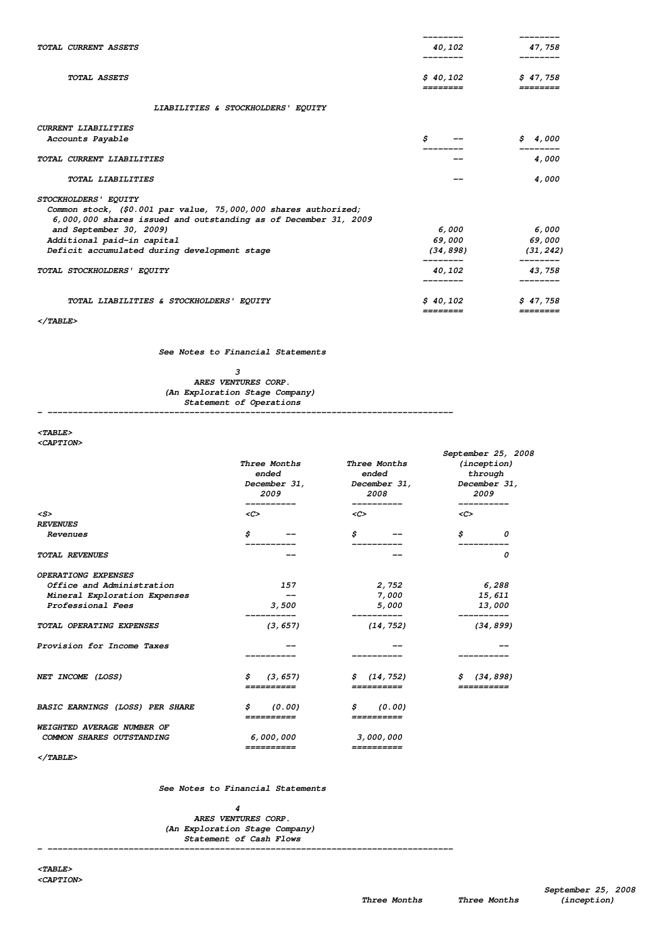| TOTAL CURRENT ASSETS                                                                                                                                                                  | ._______<br>40,102   | 47,758                        |
|---------------------------------------------------------------------------------------------------------------------------------------------------------------------------------------|----------------------|-------------------------------|
| TOTAL ASSETS                                                                                                                                                                          | \$40,102<br>======== | \$47,758<br>========          |
| LIABILITIES & STOCKHOLDERS' EQUITY                                                                                                                                                    |                      |                               |
| <b>CURRENT LIABILITIES</b><br>Accounts Payable                                                                                                                                        | \$                   | \$4,000                       |
| TOTAL CURRENT LIABILITIES                                                                                                                                                             |                      | 4,000                         |
| TOTAL LIABILITIES                                                                                                                                                                     | --                   | 4,000                         |
| STOCKHOLDERS' EQUITY<br>Common stock, (\$0.001 par value, 75,000,000 shares authorized;<br>6,000,000 shares issued and outstanding as of December 31, 2009<br>and September 30, 2009) | 6,000                | 6,000                         |
| Additional paid-in capital                                                                                                                                                            | 69,000               | 69,000                        |
| Deficit accumulated during development stage                                                                                                                                          | (34,898)             | (31, 242)                     |
| TOTAL STOCKHOLDERS' EQUITY                                                                                                                                                            | 40,102               | --------<br>43,758<br>_______ |
| TOTAL LIABILITIES & STOCKHOLDERS' EQUITY                                                                                                                                              | \$40,102             | \$47,758<br>========          |
|                                                                                                                                                                                       | --------<br>======== |                               |

**</TABLE>**

**See Notes to Financial Statements**

**3 ARES VENTURES CORP. (An Exploration Stage Company) Statement of Operations**

**- --------------------------------------------------------------------------------**

**<TABLE> <CAPTION>**

| <b><caption></caption></b>             |                                                                         |                                                                   |                                                                                  |
|----------------------------------------|-------------------------------------------------------------------------|-------------------------------------------------------------------|----------------------------------------------------------------------------------|
|                                        | <i>Three Months</i><br>ended<br><i>December 31,</i><br>2009<br>________ | Three Months<br>ended<br><i>December 31,</i><br>2008<br>_________ | September 25, 2008<br>(inception)<br>through<br>December 31,<br>2009<br>________ |
| $\langle S \rangle$                    | $\langle C \rangle$                                                     | $\langle C \rangle$                                               | $\langle C \rangle$                                                              |
| <b>REVENUES</b>                        |                                                                         |                                                                   |                                                                                  |
| Revenues                               | \$                                                                      | \$                                                                | \$<br>0                                                                          |
| <b>TOTAL REVENUES</b>                  |                                                                         |                                                                   | O                                                                                |
| OPERATIONG EXPENSES                    |                                                                         |                                                                   |                                                                                  |
| Office and Administration              | 157                                                                     | 2,752                                                             | 6,288                                                                            |
| Mineral Exploration Expenses           |                                                                         | 7,000                                                             | 15,611                                                                           |
| Professional Fees                      | 3,500                                                                   | 5,000<br>----------                                               | <i>13,000</i><br>---------                                                       |
| TOTAL OPERATING EXPENSES               | (3, 657)                                                                | (14, 752)                                                         | (34,899)                                                                         |
| Provision for Income Taxes             |                                                                         |                                                                   |                                                                                  |
|                                        |                                                                         |                                                                   |                                                                                  |
| NET INCOME (LOSS)                      | (3, 657)<br>s.                                                          | \$(14, 752)                                                       | \$(34,898)                                                                       |
|                                        |                                                                         | ==========                                                        | ----------                                                                       |
| <b>BASIC EARNINGS (LOSS) PER SHARE</b> | $\dot{s}$ (0.00)                                                        | \$<br>(0.00)                                                      |                                                                                  |
|                                        | ==========                                                              | ==========                                                        |                                                                                  |
| WEIGHTED AVERAGE NUMBER OF             |                                                                         |                                                                   |                                                                                  |
| COMMON SHARES OUTSTANDING              | 6,000,000                                                               | 3,000,000                                                         |                                                                                  |
|                                        | ==========                                                              | ==========                                                        |                                                                                  |

**</TABLE>**

**See Notes to Financial Statements**

**4 ARES VENTURES CORP. (An Exploration Stage Company) Statement of Cash Flows - --------------------------------------------------------------------------------**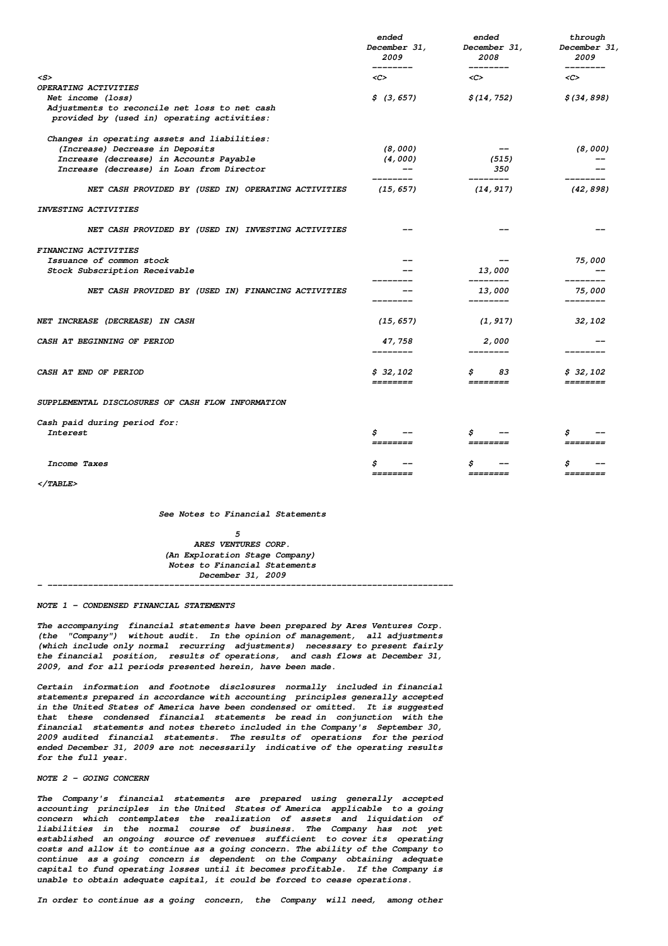|                                                                                              | ended<br>December 31,<br>2009 | ended<br>December 31,<br>2008 | through<br>December 31,<br>2009 |
|----------------------------------------------------------------------------------------------|-------------------------------|-------------------------------|---------------------------------|
| $\langle S \rangle$                                                                          | <c></c>                       | $\langle C \rangle$           | <c></c>                         |
| OPERATING ACTIVITIES                                                                         |                               |                               |                                 |
| Net income (loss)                                                                            | \$(3, 657)                    | \$(14, 752)                   | \$(34,898)                      |
| Adjustments to reconcile net loss to net cash<br>provided by (used in) operating activities: |                               |                               |                                 |
| Changes in operating assets and liabilities:                                                 |                               |                               |                                 |
| (Increase) Decrease in Deposits                                                              | (8,000)                       |                               | (8,000)                         |
| Increase (decrease) in Accounts Payable                                                      | (4,000)                       | (515)                         |                                 |
| Increase (decrease) in Loan from Director                                                    | --                            | 350                           |                                 |
| NET CASH PROVIDED BY (USED IN) OPERATING ACTIVITIES                                          | (15, 657)                     | (14, 917)                     | (42, 898)                       |
| INVESTING ACTIVITIES                                                                         |                               |                               |                                 |
| NET CASH PROVIDED BY (USED IN) INVESTING ACTIVITIES                                          |                               |                               |                                 |
| <b>FINANCING ACTIVITIES</b>                                                                  |                               |                               |                                 |
| Issuance of common stock                                                                     |                               |                               | 75,000                          |
| Stock Subscription Receivable                                                                |                               | 13,000<br>---------           |                                 |
| NET CASH PROVIDED BY (USED IN) FINANCING ACTIVITIES                                          |                               | 13,000                        | 75,000                          |
| NET INCREASE (DECREASE) IN CASH                                                              | (15, 657)                     | (1, 917)                      | 32,102                          |
| CASH AT BEGINNING OF PERIOD                                                                  | 47,758                        | 2,000                         |                                 |
| CASH AT END OF PERIOD                                                                        | \$32,102                      | s.<br>83                      | \$32,102                        |
| SUPPLEMENTAL DISCLOSURES OF CASH FLOW INFORMATION                                            | $=$ $=$ $=$ $=$ $=$ $=$ $=$   | ========                      | ========                        |
|                                                                                              |                               |                               |                                 |
| Cash paid during period for:                                                                 |                               |                               |                                 |
| <b>Interest</b>                                                                              | \$                            | \$                            | S                               |
|                                                                                              | ========                      | ========                      | ========                        |
| Income Taxes                                                                                 | s                             | \$                            |                                 |
|                                                                                              | ========                      | ========                      | ========                        |

**- --------------------------------------------------------------------------------**

**</TABLE>**

**See Notes to Financial Statements**

**5 ARES VENTURES CORP. (An Exploration Stage Company) Notes to Financial Statements December 31, 2009**

# **NOTE 1 - CONDENSED FINANCIAL STATEMENTS**

**The accompanying financial statements have been prepared by Ares Ventures Corp. (the "Company") without audit. In the opinion of management, all adjustments (which include only normal recurring adjustments) necessary to present fairly the financial position, results of operations, and cash flows at December 31, 2009, and for all periods presented herein, have been made.**

**Certain information and footnote disclosures normally included in financial statements prepared in accordance with accounting principles generally accepted in the United States of America have been condensed or omitted. It is suggested that these condensed financial statements be read in conjunction with the financial statements and notes thereto included in the Company's September 30, 2009 audited financial statements. The results of operations for the period ended December 31, 2009 are not necessarily indicative of the operating results for the full year.**

## **NOTE 2 - GOING CONCERN**

**The Company's financial statements are prepared using generally accepted accounting principles in the United States of America applicable to a going concern which contemplates the realization of assets and liquidation of liabilities in the normal course of business. The Company has not yet established an ongoing source of revenues sufficient to cover its operating costs and allow it to continue as a going concern. The ability of the Company to continue as a going concern is dependent on the Company obtaining adequate capital to fund operating losses until it becomes profitable. If the Company is unable to obtain adequate capital, it could be forced to cease operations.**

**In order to continue as a going concern, the Company will need, among other**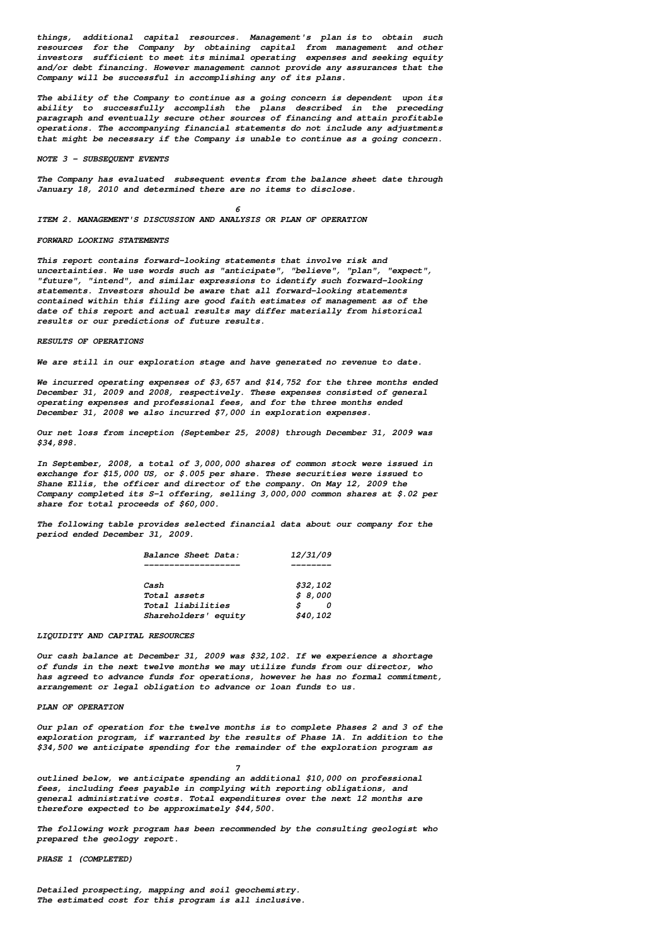**things, additional capital resources. Management's plan is to obtain such resources for the Company by obtaining capital from management and other investors sufficient to meet its minimal operating expenses and seeking equity and/or debt financing. However management cannot provide any assurances that the Company will be successful in accomplishing any of its plans.**

**The ability of the Company to continue as a going concern is dependent upon its ability to successfully accomplish the plans described in the preceding paragraph and eventually secure other sources of financing and attain profitable operations. The accompanying financial statements do not include any adjustments that might be necessary if the Company is unable to continue as a going concern.**

#### **NOTE 3 - SUBSEQUENT EVENTS**

**The Company has evaluated subsequent events from the balance sheet date through January 18, 2010 and determined there are no items to disclose.**

**6**

**ITEM 2. MANAGEMENT'S DISCUSSION AND ANALYSIS OR PLAN OF OPERATION**

### **FORWARD LOOKING STATEMENTS**

**This report contains forward-looking statements that involve risk and uncertainties. We use words such as "anticipate", "believe", "plan", "expect", "future", "intend", and similar expressions to identify such forward-looking statements. Investors should be aware that all forward-looking statements contained within this filing are good faith estimates of management as of the date of this report and actual results may differ materially from historical results or our predictions of future results.**

#### **RESULTS OF OPERATIONS**

**We are still in our exploration stage and have generated no revenue to date.**

**We incurred operating expenses of \$3,657 and \$14,752 for the three months ended December 31, 2009 and 2008, respectively. These expenses consisted of general operating expenses and professional fees, and for the three months ended December 31, 2008 we also incurred \$7,000 in exploration expenses.**

**Our net loss from inception (September 25, 2008) through December 31, 2009 was \$34,898.**

**In September, 2008, a total of 3,000,000 shares of common stock were issued in exchange for \$15,000 US, or \$.005 per share. These securities were issued to Shane Ellis, the officer and director of the company. On May 12, 2009 the Company completed its S-1 offering, selling 3,000,000 common shares at \$.02 per share for total proceeds of \$60,000.**

**The following table provides selected financial data about our company for the period ended December 31, 2009.**

| Balance Sheet Data:      | 12/31/09               |
|--------------------------|------------------------|
|                          |                        |
|                          |                        |
| Cash                     | \$32,102               |
| <i>Total assets</i>      | \$ 8,000               |
| <i>Total liabilities</i> |                        |
| Shareholders' equity     | <i><b>\$40,102</b></i> |

#### **LIQUIDITY AND CAPITAL RESOURCES**

**Our cash balance at December 31, 2009 was \$32,102. If we experience a shortage of funds in the next twelve months we may utilize funds from our director, who has agreed to advance funds for operations, however he has no formal commitment, arrangement or legal obligation to advance or loan funds to us.**

# **PLAN OF OPERATION**

**Our plan of operation for the twelve months is to complete Phases 2 and 3 of the exploration program, if warranted by the results of Phase 1A. In addition to the \$34,500 we anticipate spending for the remainder of the exploration program as**

**7**

**outlined below, we anticipate spending an additional \$10,000 on professional fees, including fees payable in complying with reporting obligations, and general administrative costs. Total expenditures over the next 12 months are therefore expected to be approximately \$44,500.**

**The following work program has been recommended by the consulting geologist who prepared the geology report.**

**PHASE 1 (COMPLETED)**

**Detailed prospecting, mapping and soil geochemistry. The estimated cost for this program is all inclusive.**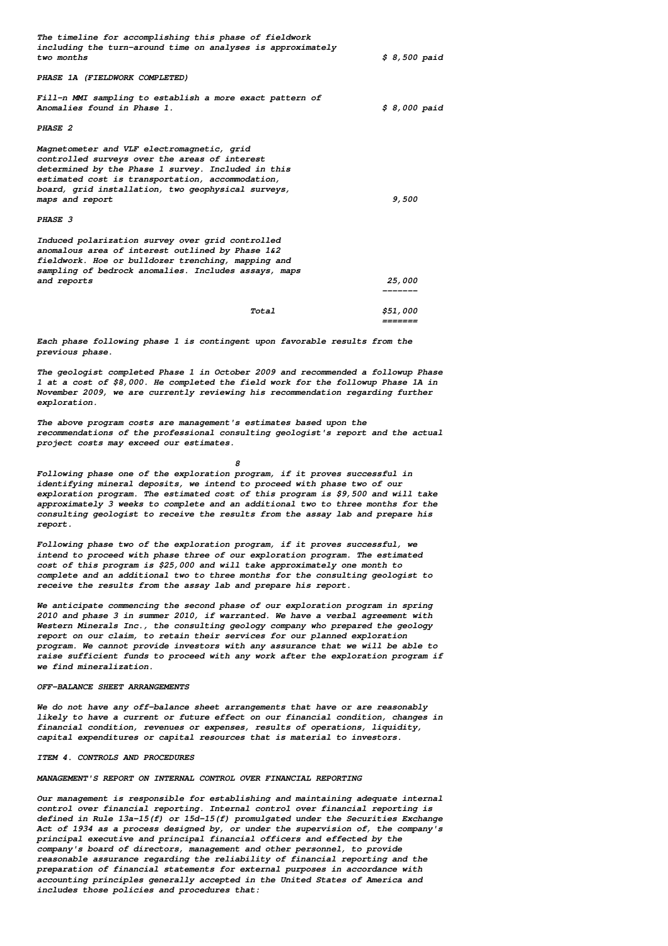| The timeline for accomplishing this phase of fieldwork                                                                                                                                                                                                                         |                        |
|--------------------------------------------------------------------------------------------------------------------------------------------------------------------------------------------------------------------------------------------------------------------------------|------------------------|
| including the turn-around time on analyses is approximately<br>two months                                                                                                                                                                                                      | $$8,500$ paid          |
| PHASE 1A (FIELDWORK COMPLETED)                                                                                                                                                                                                                                                 |                        |
| Fill-n MMI sampling to establish a more exact pattern of<br>Anomalies found in Phase 1.                                                                                                                                                                                        | \$ 8,000 paid          |
| PHASE 2                                                                                                                                                                                                                                                                        |                        |
| Magnetometer and VLF electromagnetic, grid<br>controlled surveys over the areas of interest<br>determined by the Phase 1 survey. Included in this<br>estimated cost is transportation, accommodation,<br>board, grid installation, two geophysical surveys,<br>maps and report | 9,500                  |
| PHASE 3                                                                                                                                                                                                                                                                        |                        |
| Induced polarization survey over grid controlled<br>anomalous area of interest outlined by Phase 1&2<br>fieldwork. Hoe or bulldozer trenching, mapping and<br>sampling of bedrock anomalies. Includes assays, maps<br>and reports                                              | 25,000                 |
|                                                                                                                                                                                                                                                                                |                        |
| Total                                                                                                                                                                                                                                                                          | <i><b>\$51,000</b></i> |
|                                                                                                                                                                                                                                                                                | =======                |

**Each phase following phase 1 is contingent upon favorable results from the previous phase.**

**The geologist completed Phase 1 in October 2009 and recommended a followup Phase 1 at a cost of \$8,000. He completed the field work for the followup Phase 1A in November 2009, we are currently reviewing his recommendation regarding further exploration.**

**The above program costs are management's estimates based upon the recommendations of the professional consulting geologist's report and the actual project costs may exceed our estimates.**

**8 Following phase one of the exploration program, if it proves successful in identifying mineral deposits, we intend to proceed with phase two of our exploration program. The estimated cost of this program is \$9,500 and will take approximately 3 weeks to complete and an additional two to three months for the consulting geologist to receive the results from the assay lab and prepare his report.**

**Following phase two of the exploration program, if it proves successful, we intend to proceed with phase three of our exploration program. The estimated cost of this program is \$25,000 and will take approximately one month to complete and an additional two to three months for the consulting geologist to receive the results from the assay lab and prepare his report.**

**We anticipate commencing the second phase of our exploration program in spring 2010 and phase 3 in summer 2010, if warranted. We have a verbal agreement with Western Minerals Inc., the consulting geology company who prepared the geology report on our claim, to retain their services for our planned exploration program. We cannot provide investors with any assurance that we will be able to raise sufficient funds to proceed with any work after the exploration program if we find mineralization.**

# **OFF-BALANCE SHEET ARRANGEMENTS**

**We do not have any off-balance sheet arrangements that have or are reasonably likely to have a current or future effect on our financial condition, changes in financial condition, revenues or expenses, results of operations, liquidity, capital expenditures or capital resources that is material to investors.**

# **ITEM 4. CONTROLS AND PROCEDURES**

# **MANAGEMENT'S REPORT ON INTERNAL CONTROL OVER FINANCIAL REPORTING**

**Our management is responsible for establishing and maintaining adequate internal control over financial reporting. Internal control over financial reporting is defined in Rule 13a-15(f) or 15d-15(f) promulgated under the Securities Exchange Act of 1934 as a process designed by, or under the supervision of, the company's principal executive and principal financial officers and effected by the company's board of directors, management and other personnel, to provide reasonable assurance regarding the reliability of financial reporting and the preparation of financial statements for external purposes in accordance with accounting principles generally accepted in the United States of America and includes those policies and procedures that:**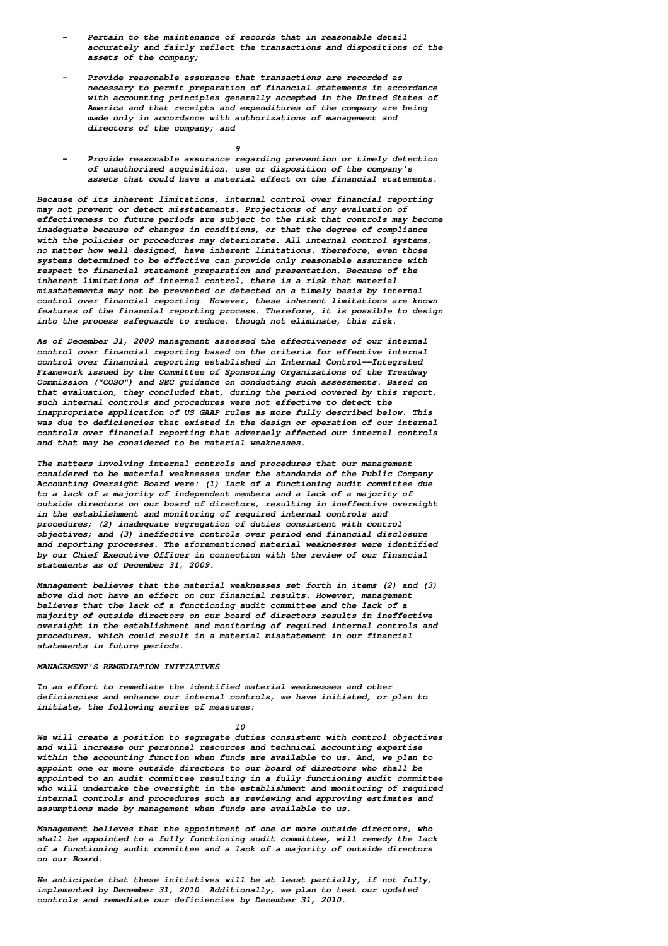- **- Pertain to the maintenance of records that in reasonable detail accurately and fairly reflect the transactions and dispositions of the assets of the company;**
- **- Provide reasonable assurance that transactions are recorded as necessary to permit preparation of financial statements in accordance with accounting principles generally accepted in the United States of America and that receipts and expenditures of the company are being made only in accordance with authorizations of management and directors of the company; and**
	- **9**
- **- Provide reasonable assurance regarding prevention or timely detection of unauthorized acquisition, use or disposition of the company's assets that could have a material effect on the financial statements.**

**Because of its inherent limitations, internal control over financial reporting may not prevent or detect misstatements. Projections of any evaluation of effectiveness to future periods are subject to the risk that controls may become inadequate because of changes in conditions, or that the degree of compliance with the policies or procedures may deteriorate. All internal control systems, no matter how well designed, have inherent limitations. Therefore, even those systems determined to be effective can provide only reasonable assurance with respect to financial statement preparation and presentation. Because of the inherent limitations of internal control, there is a risk that material misstatements may not be prevented or detected on a timely basis by internal control over financial reporting. However, these inherent limitations are known features of the financial reporting process. Therefore, it is possible to design into the process safeguards to reduce, though not eliminate, this risk.**

**As of December 31, 2009 management assessed the effectiveness of our internal control over financial reporting based on the criteria for effective internal control over financial reporting established in Internal Control--Integrated Framework issued by the Committee of Sponsoring Organizations of the Treadway Commission ("COSO") and SEC guidance on conducting such assessments. Based on that evaluation, they concluded that, during the period covered by this report, such internal controls and procedures were not effective to detect the inappropriate application of US GAAP rules as more fully described below. This was due to deficiencies that existed in the design or operation of our internal controls over financial reporting that adversely affected our internal controls and that may be considered to be material weaknesses.**

**The matters involving internal controls and procedures that our management considered to be material weaknesses under the standards of the Public Company Accounting Oversight Board were: (1) lack of a functioning audit committee due to a lack of a majority of independent members and a lack of a majority of outside directors on our board of directors, resulting in ineffective oversight in the establishment and monitoring of required internal controls and procedures; (2) inadequate segregation of duties consistent with control objectives; and (3) ineffective controls over period end financial disclosure and reporting processes. The aforementioned material weaknesses were identified by our Chief Executive Officer in connection with the review of our financial statements as of December 31, 2009.**

**Management believes that the material weaknesses set forth in items (2) and (3) above did not have an effect on our financial results. However, management believes that the lack of a functioning audit committee and the lack of a majority of outside directors on our board of directors results in ineffective oversight in the establishment and monitoring of required internal controls and procedures, which could result in a material misstatement in our financial statements in future periods.**

#### **MANAGEMENT'S REMEDIATION INITIATIVES**

**In an effort to remediate the identified material weaknesses and other deficiencies and enhance our internal controls, we have initiated, or plan to initiate, the following series of measures:**

**10**

**We will create a position to segregate duties consistent with control objectives and will increase our personnel resources and technical accounting expertise within the accounting function when funds are available to us. And, we plan to appoint one or more outside directors to our board of directors who shall be appointed to an audit committee resulting in a fully functioning audit committee who will undertake the oversight in the establishment and monitoring of required internal controls and procedures such as reviewing and approving estimates and assumptions made by management when funds are available to us.**

**Management believes that the appointment of one or more outside directors, who shall be appointed to a fully functioning audit committee, will remedy the lack of a functioning audit committee and a lack of a majority of outside directors on our Board.**

**We anticipate that these initiatives will be at least partially, if not fully, implemented by December 31, 2010. Additionally, we plan to test our updated controls and remediate our deficiencies by December 31, 2010.**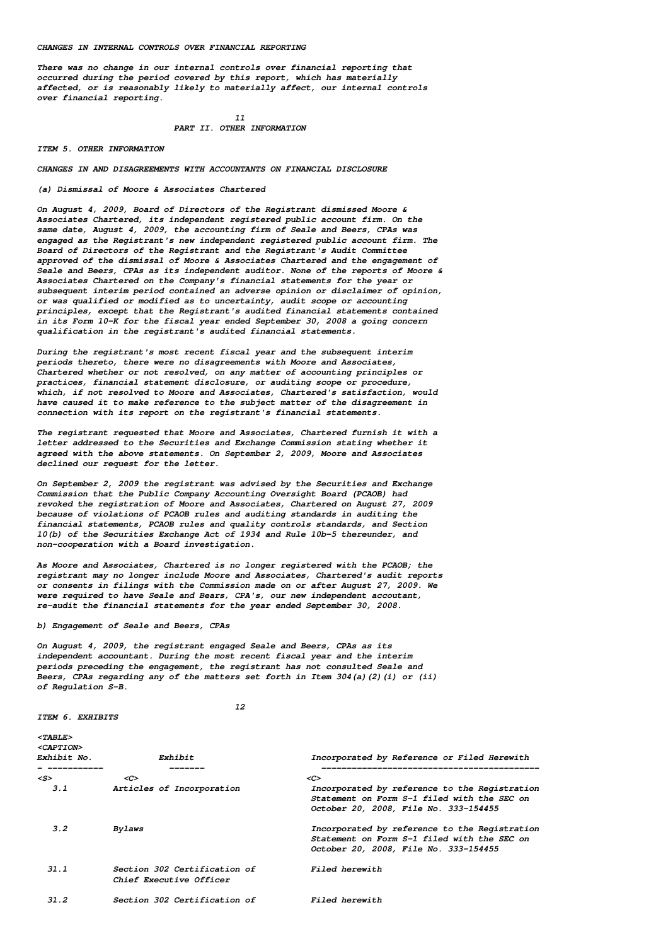#### **CHANGES IN INTERNAL CONTROLS OVER FINANCIAL REPORTING**

**There was no change in our internal controls over financial reporting that occurred during the period covered by this report, which has materially affected, or is reasonably likely to materially affect, our internal controls over financial reporting.**

#### **11 PART II. OTHER INFORMATION**

#### **ITEM 5. OTHER INFORMATION**

**CHANGES IN AND DISAGREEMENTS WITH ACCOUNTANTS ON FINANCIAL DISCLOSURE**

# **(a) Dismissal of Moore & Associates Chartered**

**On August 4, 2009, Board of Directors of the Registrant dismissed Moore & Associates Chartered, its independent registered public account firm. On the same date, August 4, 2009, the accounting firm of Seale and Beers, CPAs was engaged as the Registrant's new independent registered public account firm. The Board of Directors of the Registrant and the Registrant's Audit Committee approved of the dismissal of Moore & Associates Chartered and the engagement of Seale and Beers, CPAs as its independent auditor. None of the reports of Moore & Associates Chartered on the Company's financial statements for the year or subsequent interim period contained an adverse opinion or disclaimer of opinion, or was qualified or modified as to uncertainty, audit scope or accounting principles, except that the Registrant's audited financial statements contained in its Form 10-K for the fiscal year ended September 30, 2008 a going concern qualification in the registrant's audited financial statements.**

**During the registrant's most recent fiscal year and the subsequent interim periods thereto, there were no disagreements with Moore and Associates, Chartered whether or not resolved, on any matter of accounting principles or practices, financial statement disclosure, or auditing scope or procedure, which, if not resolved to Moore and Associates, Chartered's satisfaction, would have caused it to make reference to the subject matter of the disagreement in connection with its report on the registrant's financial statements.**

**The registrant requested that Moore and Associates, Chartered furnish it with a letter addressed to the Securities and Exchange Commission stating whether it agreed with the above statements. On September 2, 2009, Moore and Associates declined our request for the letter.**

**On September 2, 2009 the registrant was advised by the Securities and Exchange Commission that the Public Company Accounting Oversight Board (PCAOB) had revoked the registration of Moore and Associates, Chartered on August 27, 2009 because of violations of PCAOB rules and auditing standards in auditing the financial statements, PCAOB rules and quality controls standards, and Section 10(b) of the Securities Exchange Act of 1934 and Rule 10b-5 thereunder, and non-cooperation with a Board investigation.**

**As Moore and Associates, Chartered is no longer registered with the PCAOB; the registrant may no longer include Moore and Associates, Chartered's audit reports or consents in filings with the Commission made on or after August 27, 2009. We were required to have Seale and Bears, CPA's, our new independent accoutant, re-audit the financial statements for the year ended September 30, 2008.**

**b) Engagement of Seale and Beers, CPAs**

**On August 4, 2009, the registrant engaged Seale and Beers, CPAs as its independent accountant. During the most recent fiscal year and the interim periods preceding the engagement, the registrant has not consulted Seale and Beers, CPAs regarding any of the matters set forth in Item 304(a)(2)(i) or (ii) of Regulation S-B.**

**ITEM 6. EXHIBITS**

**<TABLE>**

**12**

| <b><caption></caption></b><br>Exhibit No.<br>__________ | Exhibit                                                 | Incorporated by Reference or Filed Herewith                                                                                           |
|---------------------------------------------------------|---------------------------------------------------------|---------------------------------------------------------------------------------------------------------------------------------------|
| <s></s>                                                 | $\langle C \rangle$                                     | $\langle C \rangle$                                                                                                                   |
| 3.1                                                     | Articles of Incorporation                               | Incorporated by reference to the Registration<br>Statement on Form S-1 filed with the SEC on<br>October 20, 2008, File No. 333-154455 |
| $3.2^{\circ}$                                           | Bylaws                                                  | Incorporated by reference to the Registration<br>Statement on Form S-1 filed with the SEC on<br>October 20, 2008, File No. 333-154455 |
| 31.1                                                    | Section 302 Certification of<br>Chief Executive Officer | Filed herewith                                                                                                                        |
| 31.2                                                    | Section 302 Certification of                            | <b>Filed herewith</b>                                                                                                                 |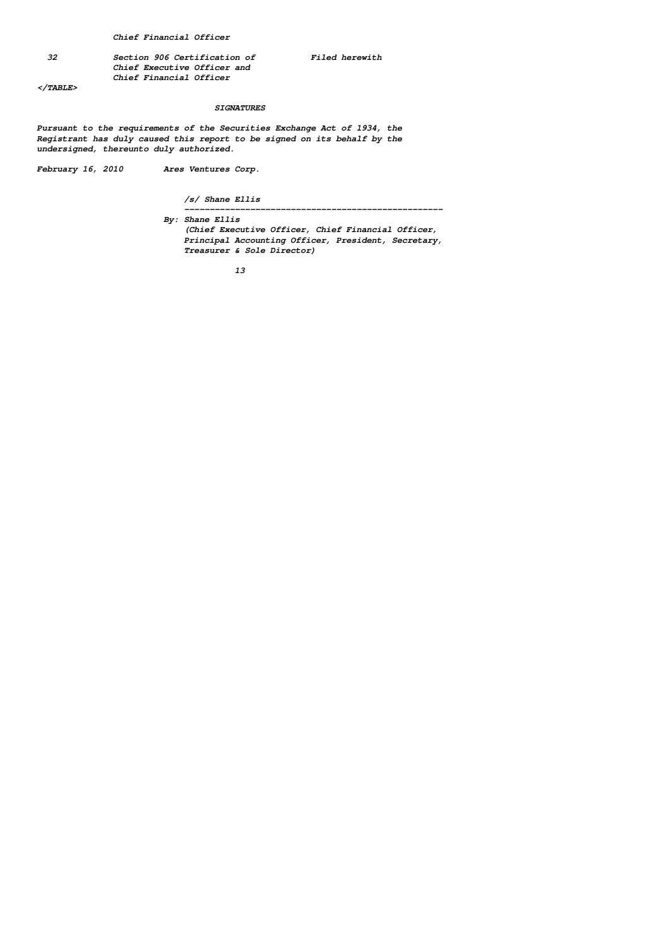# **Chief Financial Officer**

| -32 | Section 906 Certification of | <i>Filed herewith</i> |
|-----|------------------------------|-----------------------|
|     | Chief Executive Officer and  |                       |
|     | Chief Financial Officer      |                       |

**</TABLE>**

**SIGNATURES**

**Pursuant to the requirements of the Securities Exchange Act of 1934, the Registrant has duly caused this report to be signed on its behalf by the undersigned, thereunto duly authorized.**

**February 16, 2010 Ares Ventures Corp.**

**/s/ Shane Ellis**

**---------------------------------------------------**

**By: Shane Ellis (Chief Executive Officer, Chief Financial Officer, Principal Accounting Officer, President, Secretary, Treasurer & Sole Director)**

**13**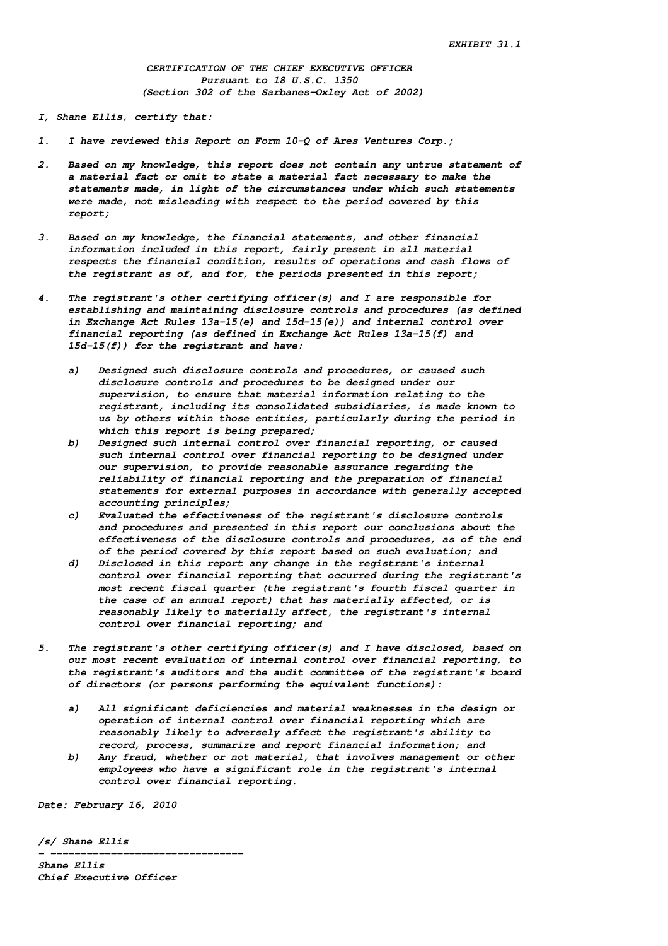**CERTIFICATION OF THE CHIEF EXECUTIVE OFFICER Pursuant to 18 U.S.C. 1350 (Section 302 of the Sarbanes-Oxley Act of 2002)**

- **I, Shane Ellis, certify that:**
- **1. I have reviewed this Report on Form 10-Q of Ares Ventures Corp.;**
- **2. Based on my knowledge, this report does not contain any untrue statement of a material fact or omit to state a material fact necessary to make the statements made, in light of the circumstances under which such statements were made, not misleading with respect to the period covered by this report;**
- **3. Based on my knowledge, the financial statements, and other financial information included in this report, fairly present in all material respects the financial condition, results of operations and cash flows of the registrant as of, and for, the periods presented in this report;**
- **4. The registrant's other certifying officer(s) and I are responsible for establishing and maintaining disclosure controls and procedures (as defined in Exchange Act Rules 13a-15(e) and 15d-15(e)) and internal control over financial reporting (as defined in Exchange Act Rules 13a-15(f) and 15d-15(f)) for the registrant and have:**
	- **a) Designed such disclosure controls and procedures, or caused such disclosure controls and procedures to be designed under our supervision, to ensure that material information relating to the registrant, including its consolidated subsidiaries, is made known to us by others within those entities, particularly during the period in which this report is being prepared;**
	- **b) Designed such internal control over financial reporting, or caused such internal control over financial reporting to be designed under our supervision, to provide reasonable assurance regarding the reliability of financial reporting and the preparation of financial statements for external purposes in accordance with generally accepted accounting principles;**
	- **c) Evaluated the effectiveness of the registrant's disclosure controls and procedures and presented in this report our conclusions about the effectiveness of the disclosure controls and procedures, as of the end of the period covered by this report based on such evaluation; and**
	- **d) Disclosed in this report any change in the registrant's internal control over financial reporting that occurred during the registrant's most recent fiscal quarter (the registrant's fourth fiscal quarter in the case of an annual report) that has materially affected, or is reasonably likely to materially affect, the registrant's internal control over financial reporting; and**
- **5. The registrant's other certifying officer(s) and I have disclosed, based on our most recent evaluation of internal control over financial reporting, to the registrant's auditors and the audit committee of the registrant's board of directors (or persons performing the equivalent functions):**
	- **a) All significant deficiencies and material weaknesses in the design or operation of internal control over financial reporting which are reasonably likely to adversely affect the registrant's ability to record, process, summarize and report financial information; and**
	- **b) Any fraud, whether or not material, that involves management or other employees who have a significant role in the registrant's internal control over financial reporting.**

**Date: February 16, 2010**

**/s/ Shane Ellis**

**- -------------------------------- Shane Ellis Chief Executive Officer**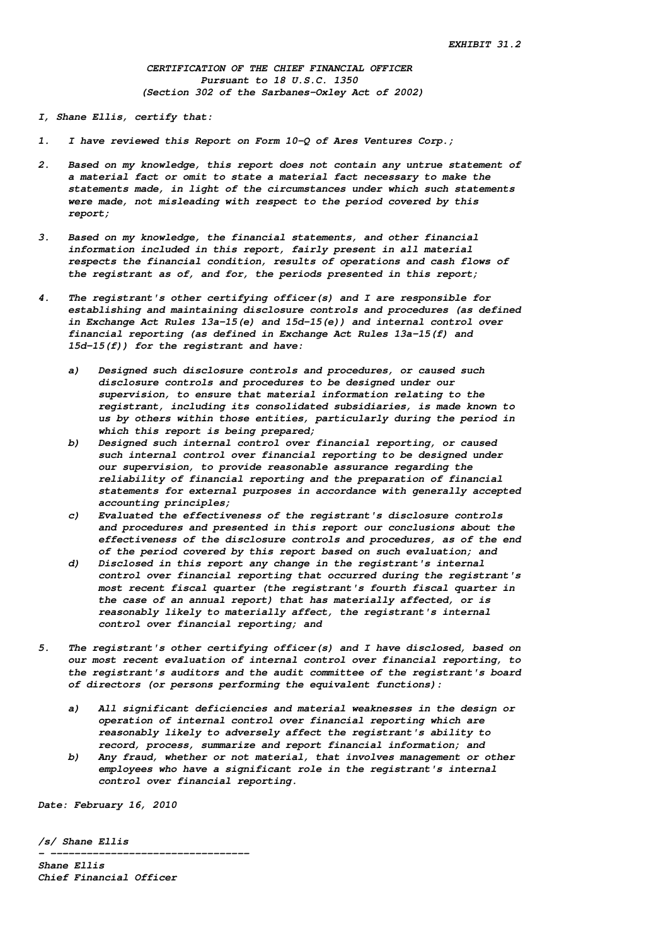**CERTIFICATION OF THE CHIEF FINANCIAL OFFICER Pursuant to 18 U.S.C. 1350 (Section 302 of the Sarbanes-Oxley Act of 2002)**

- **I, Shane Ellis, certify that:**
- **1. I have reviewed this Report on Form 10-Q of Ares Ventures Corp.;**
- **2. Based on my knowledge, this report does not contain any untrue statement of a material fact or omit to state a material fact necessary to make the statements made, in light of the circumstances under which such statements were made, not misleading with respect to the period covered by this report;**
- **3. Based on my knowledge, the financial statements, and other financial information included in this report, fairly present in all material respects the financial condition, results of operations and cash flows of the registrant as of, and for, the periods presented in this report;**
- **4. The registrant's other certifying officer(s) and I are responsible for establishing and maintaining disclosure controls and procedures (as defined in Exchange Act Rules 13a-15(e) and 15d-15(e)) and internal control over financial reporting (as defined in Exchange Act Rules 13a-15(f) and 15d-15(f)) for the registrant and have:**
	- **a) Designed such disclosure controls and procedures, or caused such disclosure controls and procedures to be designed under our supervision, to ensure that material information relating to the registrant, including its consolidated subsidiaries, is made known to us by others within those entities, particularly during the period in which this report is being prepared;**
	- **b) Designed such internal control over financial reporting, or caused such internal control over financial reporting to be designed under our supervision, to provide reasonable assurance regarding the reliability of financial reporting and the preparation of financial statements for external purposes in accordance with generally accepted accounting principles;**
	- **c) Evaluated the effectiveness of the registrant's disclosure controls and procedures and presented in this report our conclusions about the effectiveness of the disclosure controls and procedures, as of the end of the period covered by this report based on such evaluation; and**
	- **d) Disclosed in this report any change in the registrant's internal control over financial reporting that occurred during the registrant's most recent fiscal quarter (the registrant's fourth fiscal quarter in the case of an annual report) that has materially affected, or is reasonably likely to materially affect, the registrant's internal control over financial reporting; and**
- **5. The registrant's other certifying officer(s) and I have disclosed, based on our most recent evaluation of internal control over financial reporting, to the registrant's auditors and the audit committee of the registrant's board of directors (or persons performing the equivalent functions):**
	- **a) All significant deficiencies and material weaknesses in the design or operation of internal control over financial reporting which are reasonably likely to adversely affect the registrant's ability to record, process, summarize and report financial information; and**
	- **b) Any fraud, whether or not material, that involves management or other employees who have a significant role in the registrant's internal control over financial reporting.**

**Date: February 16, 2010**

**/s/ Shane Ellis**

**- --------------------------------- Shane Ellis Chief Financial Officer**